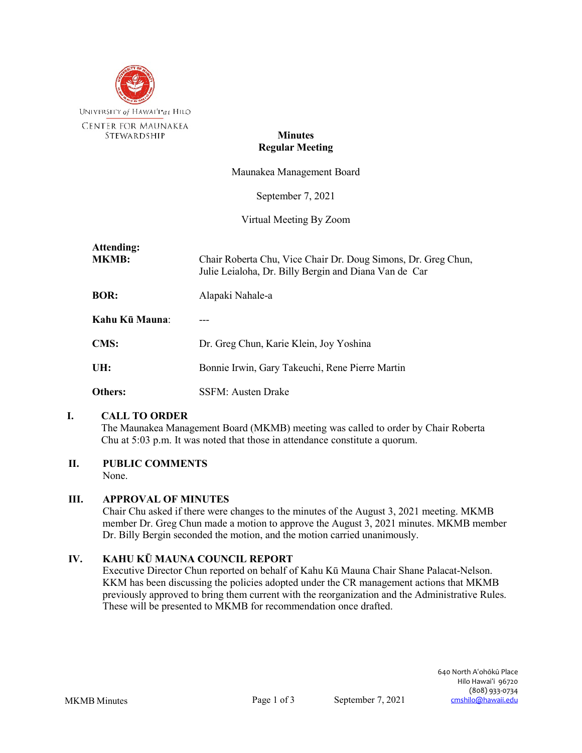

## **Minutes Regular Meeting**

Maunakea Management Board

September 7, 2021

Virtual Meeting By Zoom

| Attending:<br><b>MKMB:</b> | Chair Roberta Chu, Vice Chair Dr. Doug Simons, Dr. Greg Chun,<br>Julie Leialoha, Dr. Billy Bergin and Diana Van de Car |
|----------------------------|------------------------------------------------------------------------------------------------------------------------|
| <b>BOR:</b>                | Alapaki Nahale-a                                                                                                       |
| Kahu Kū Mauna:             |                                                                                                                        |
| <b>CMS:</b>                | Dr. Greg Chun, Karie Klein, Joy Yoshina                                                                                |
| UH:                        | Bonnie Irwin, Gary Takeuchi, Rene Pierre Martin                                                                        |
| Others:                    | SSFM: Austen Drake                                                                                                     |

## **I. CALL TO ORDER**

The Maunakea Management Board (MKMB) meeting was called to order by Chair Roberta Chu at 5:03 p.m. It was noted that those in attendance constitute a quorum.

# **II. PUBLIC COMMENTS**

None.

# **III. APPROVAL OF MINUTES**

Chair Chu asked if there were changes to the minutes of the August 3, 2021 meeting. MKMB member Dr. Greg Chun made a motion to approve the August 3, 2021 minutes. MKMB member Dr. Billy Bergin seconded the motion, and the motion carried unanimously.

# **IV. KAHU KŪ MAUNA COUNCIL REPORT**

Executive Director Chun reported on behalf of Kahu Kū Mauna Chair Shane Palacat-Nelson. KKM has been discussing the policies adopted under the CR management actions that MKMB previously approved to bring them current with the reorganization and the Administrative Rules. These will be presented to MKMB for recommendation once drafted.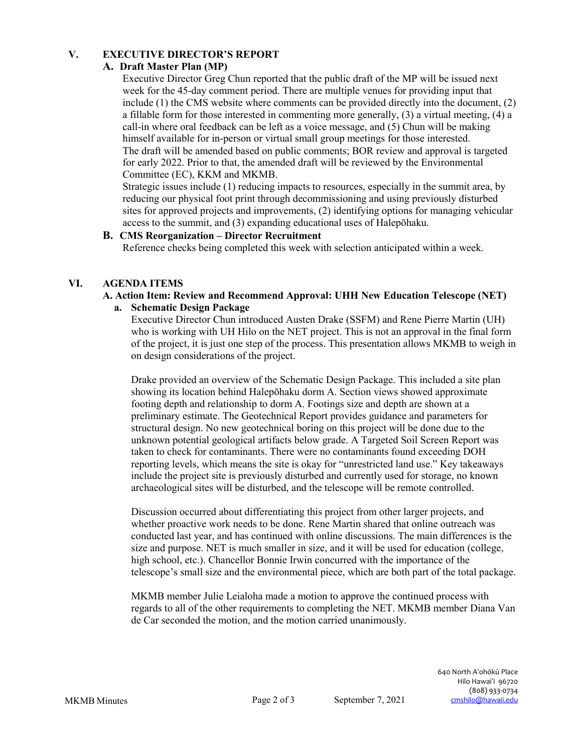# **V. EXECUTIVE DIRECTOR'S REPORT**

# **A. Draft Master Plan (MP)**

Executive Director Greg Chun reported that the public draft of the MP will be issued next week for the 45-day comment period. There are multiple venues for providing input that include (1) the CMS website where comments can be provided directly into the document, (2) a fillable form for those interested in commenting more generally, (3) a virtual meeting, (4) a call-in where oral feedback can be left as a voice message, and (5) Chun will be making himself available for in-person or virtual small group meetings for those interested. The draft will be amended based on public comments; BOR review and approval is targeted for early 2022. Prior to that, the amended draft will be reviewed by the Environmental Committee (EC), KKM and MKMB.

Strategic issues include (1) reducing impacts to resources, especially in the summit area, by reducing our physical foot print through decommissioning and using previously disturbed sites for approved projects and improvements, (2) identifying options for managing vehicular access to the summit, and (3) expanding educational uses of Halepōhaku.

## **B. CMS Reorganization – Director Recruitment**

Reference checks being completed this week with selection anticipated within a week.

# **VI. AGENDA ITEMS**

# **A. Action Item: Review and Recommend Approval: UHH New Education Telescope (NET)**

#### **a. Schematic Design Package**

Executive Director Chun introduced Austen Drake (SSFM) and Rene Pierre Martin (UH) who is working with UH Hilo on the NET project. This is not an approval in the final form of the project, it is just one step of the process. This presentation allows MKMB to weigh in on design considerations of the project.

Drake provided an overview of the Schematic Design Package. This included a site plan showing its location behind Halepōhaku dorm A. Section views showed approximate footing depth and relationship to dorm A. Footings size and depth are shown at a preliminary estimate. The Geotechnical Report provides guidance and parameters for structural design. No new geotechnical boring on this project will be done due to the unknown potential geological artifacts below grade. A Targeted Soil Screen Report was taken to check for contaminants. There were no contaminants found exceeding DOH reporting levels, which means the site is okay for "unrestricted land use." Key takeaways include the project site is previously disturbed and currently used for storage, no known archaeological sites will be disturbed, and the telescope will be remote controlled.

Discussion occurred about differentiating this project from other larger projects, and whether proactive work needs to be done. Rene Martin shared that online outreach was conducted last year, and has continued with online discussions. The main differences is the size and purpose. NET is much smaller in size, and it will be used for education (college, high school, etc.). Chancellor Bonnie Irwin concurred with the importance of the telescope's small size and the environmental piece, which are both part of the total package.

MKMB member Julie Leialoha made a motion to approve the continued process with regards to all of the other requirements to completing the NET. MKMB member Diana Van de Car seconded the motion, and the motion carried unanimously.